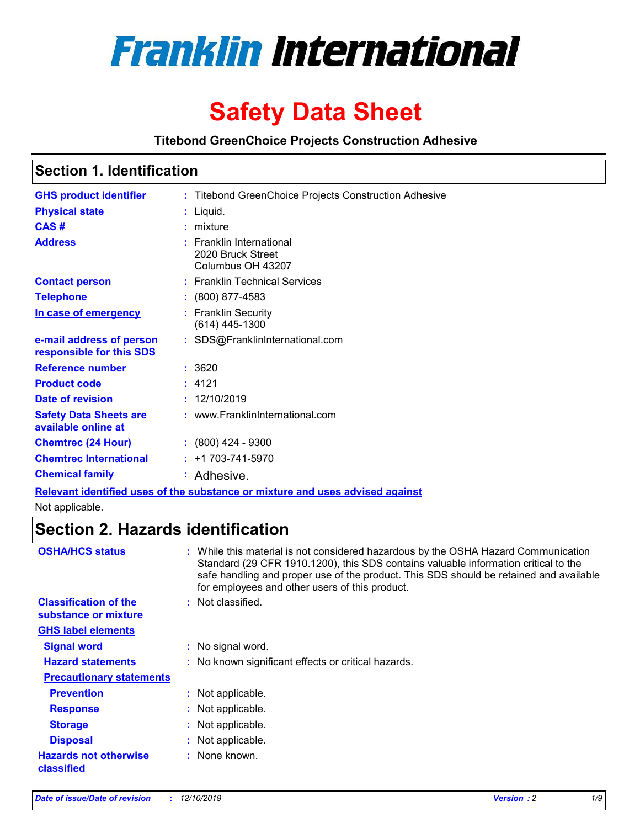

# **Safety Data Sheet**

**Titebond GreenChoice Projects Construction Adhesive**

### **Section 1. Identification**

| <b>GHS product identifier</b>                        | : Titebond GreenChoice Projects Construction Adhesive                         |
|------------------------------------------------------|-------------------------------------------------------------------------------|
| <b>Physical state</b>                                | : Liquid.                                                                     |
| CAS#                                                 | $:$ mixture                                                                   |
| <b>Address</b>                                       | : Franklin International<br>2020 Bruck Street<br>Columbus OH 43207            |
| <b>Contact person</b>                                | : Franklin Technical Services                                                 |
| <b>Telephone</b>                                     | $: (800) 877 - 4583$                                                          |
| In case of emergency                                 | : Franklin Security<br>$(614)$ 445-1300                                       |
| e-mail address of person<br>responsible for this SDS | : SDS@FranklinInternational.com                                               |
| <b>Reference number</b>                              | : 3620                                                                        |
| <b>Product code</b>                                  | : 4121                                                                        |
| <b>Date of revision</b>                              | : 12/10/2019                                                                  |
| <b>Safety Data Sheets are</b><br>available online at | : www.FranklinInternational.com                                               |
| <b>Chemtrec (24 Hour)</b>                            | $: (800)$ 424 - 9300                                                          |
| <b>Chemtrec International</b>                        | $: +1703 - 741 - 5970$                                                        |
| <b>Chemical family</b>                               | : Adhesive.                                                                   |
|                                                      | Relevant identified uses of the substance or mixture and uses advised against |

Not applicable.

### **Section 2. Hazards identification**

| <b>OSHA/HCS status</b>                               | : While this material is not considered hazardous by the OSHA Hazard Communication<br>Standard (29 CFR 1910.1200), this SDS contains valuable information critical to the<br>safe handling and proper use of the product. This SDS should be retained and available<br>for employees and other users of this product. |
|------------------------------------------------------|-----------------------------------------------------------------------------------------------------------------------------------------------------------------------------------------------------------------------------------------------------------------------------------------------------------------------|
| <b>Classification of the</b><br>substance or mixture | : Not classified.                                                                                                                                                                                                                                                                                                     |
| <b>GHS label elements</b>                            |                                                                                                                                                                                                                                                                                                                       |
| <b>Signal word</b>                                   | : No signal word.                                                                                                                                                                                                                                                                                                     |
| <b>Hazard statements</b>                             | : No known significant effects or critical hazards.                                                                                                                                                                                                                                                                   |
| <b>Precautionary statements</b>                      |                                                                                                                                                                                                                                                                                                                       |
| <b>Prevention</b>                                    | : Not applicable.                                                                                                                                                                                                                                                                                                     |
| <b>Response</b>                                      | : Not applicable.                                                                                                                                                                                                                                                                                                     |
| <b>Storage</b>                                       | : Not applicable.                                                                                                                                                                                                                                                                                                     |
| <b>Disposal</b>                                      | : Not applicable.                                                                                                                                                                                                                                                                                                     |
| <b>Hazards not otherwise</b><br>classified           | : None known.                                                                                                                                                                                                                                                                                                         |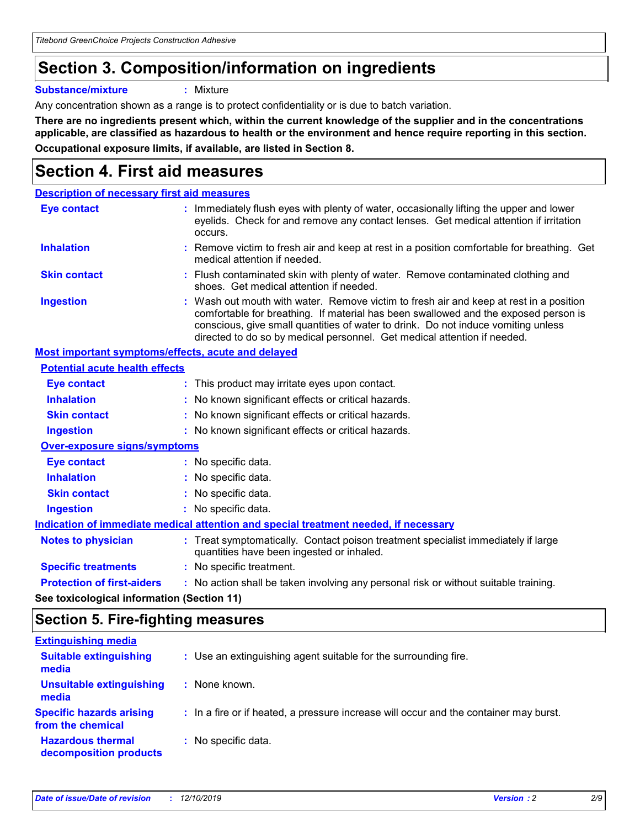# **Section 3. Composition/information on ingredients**

**Substance/mixture :** Mixture

Any concentration shown as a range is to protect confidentiality or is due to batch variation.

**There are no ingredients present which, within the current knowledge of the supplier and in the concentrations applicable, are classified as hazardous to health or the environment and hence require reporting in this section. Occupational exposure limits, if available, are listed in Section 8.**

### **Section 4. First aid measures**

| <b>Description of necessary first aid measures</b> |                                                                                                                                                                                                                                                                                                                                                |
|----------------------------------------------------|------------------------------------------------------------------------------------------------------------------------------------------------------------------------------------------------------------------------------------------------------------------------------------------------------------------------------------------------|
| <b>Eye contact</b>                                 | Immediately flush eyes with plenty of water, occasionally lifting the upper and lower<br>eyelids. Check for and remove any contact lenses. Get medical attention if irritation<br>occurs.                                                                                                                                                      |
| <b>Inhalation</b>                                  | : Remove victim to fresh air and keep at rest in a position comfortable for breathing. Get<br>medical attention if needed.                                                                                                                                                                                                                     |
| <b>Skin contact</b>                                | : Flush contaminated skin with plenty of water. Remove contaminated clothing and<br>shoes. Get medical attention if needed.                                                                                                                                                                                                                    |
| <b>Ingestion</b>                                   | : Wash out mouth with water. Remove victim to fresh air and keep at rest in a position<br>comfortable for breathing. If material has been swallowed and the exposed person is<br>conscious, give small quantities of water to drink. Do not induce vomiting unless<br>directed to do so by medical personnel. Get medical attention if needed. |
| Most important symptoms/effects, acute and delayed |                                                                                                                                                                                                                                                                                                                                                |
| <b>Potential acute health effects</b>              |                                                                                                                                                                                                                                                                                                                                                |
| <b>Eye contact</b>                                 | : This product may irritate eyes upon contact.                                                                                                                                                                                                                                                                                                 |
| <b>Inhalation</b>                                  | : No known significant effects or critical hazards.                                                                                                                                                                                                                                                                                            |
| <b>Skin contact</b>                                | : No known significant effects or critical hazards.                                                                                                                                                                                                                                                                                            |
| <b>Ingestion</b>                                   | : No known significant effects or critical hazards.                                                                                                                                                                                                                                                                                            |
| <b>Over-exposure signs/symptoms</b>                |                                                                                                                                                                                                                                                                                                                                                |
| <b>Eye contact</b>                                 | : No specific data.                                                                                                                                                                                                                                                                                                                            |
| <b>Inhalation</b>                                  | : No specific data.                                                                                                                                                                                                                                                                                                                            |
| <b>Skin contact</b>                                | : No specific data.                                                                                                                                                                                                                                                                                                                            |
| <b>Ingestion</b>                                   | : No specific data.                                                                                                                                                                                                                                                                                                                            |
|                                                    | Indication of immediate medical attention and special treatment needed, if necessary                                                                                                                                                                                                                                                           |
| <b>Notes to physician</b>                          | : Treat symptomatically. Contact poison treatment specialist immediately if large<br>quantities have been ingested or inhaled.                                                                                                                                                                                                                 |
| <b>Specific treatments</b>                         | : No specific treatment.                                                                                                                                                                                                                                                                                                                       |
| <b>Protection of first-aiders</b>                  | : No action shall be taken involving any personal risk or without suitable training.                                                                                                                                                                                                                                                           |
|                                                    |                                                                                                                                                                                                                                                                                                                                                |

**See toxicological information (Section 11)**

### **Section 5. Fire-fighting measures**

| <b>Extinguishing media</b>                           |                                                                                       |
|------------------------------------------------------|---------------------------------------------------------------------------------------|
| <b>Suitable extinguishing</b><br>media               | : Use an extinguishing agent suitable for the surrounding fire.                       |
| <b>Unsuitable extinguishing</b><br>media             | : None known.                                                                         |
| <b>Specific hazards arising</b><br>from the chemical | : In a fire or if heated, a pressure increase will occur and the container may burst. |
| <b>Hazardous thermal</b><br>decomposition products   | : No specific data.                                                                   |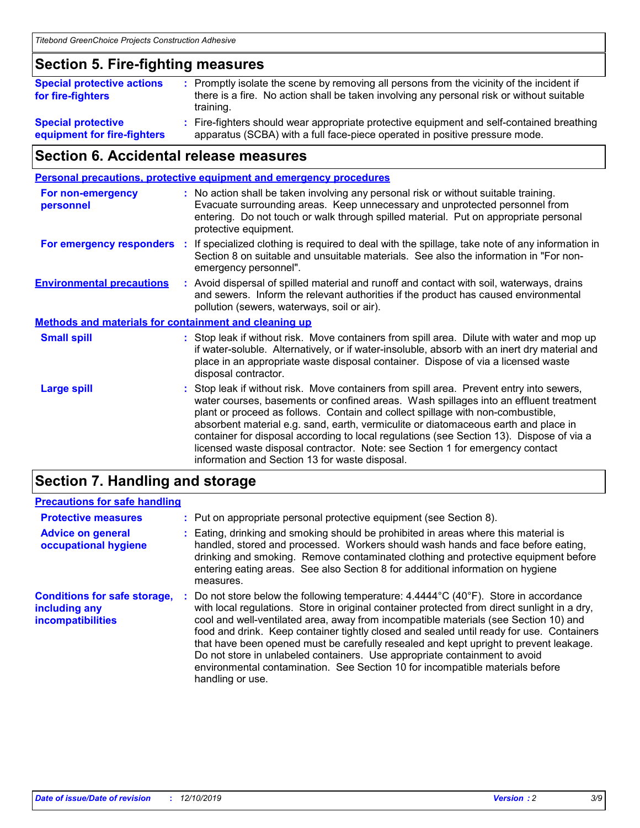### **Section 5. Fire-fighting measures**

| <b>Special protective actions</b><br>for fire-fighters   | : Promptly isolate the scene by removing all persons from the vicinity of the incident if<br>there is a fire. No action shall be taken involving any personal risk or without suitable<br>training. |
|----------------------------------------------------------|-----------------------------------------------------------------------------------------------------------------------------------------------------------------------------------------------------|
| <b>Special protective</b><br>equipment for fire-fighters | : Fire-fighters should wear appropriate protective equipment and self-contained breathing<br>apparatus (SCBA) with a full face-piece operated in positive pressure mode.                            |

### **Section 6. Accidental release measures**

| <b>Personal precautions, protective equipment and emergency procedures</b>                                                                                                                                                                                                                                                                                                                                                                                                                                                                                                                 |
|--------------------------------------------------------------------------------------------------------------------------------------------------------------------------------------------------------------------------------------------------------------------------------------------------------------------------------------------------------------------------------------------------------------------------------------------------------------------------------------------------------------------------------------------------------------------------------------------|
| : No action shall be taken involving any personal risk or without suitable training.<br>Evacuate surrounding areas. Keep unnecessary and unprotected personnel from<br>entering. Do not touch or walk through spilled material. Put on appropriate personal<br>protective equipment.                                                                                                                                                                                                                                                                                                       |
| If specialized clothing is required to deal with the spillage, take note of any information in<br>Section 8 on suitable and unsuitable materials. See also the information in "For non-<br>emergency personnel".                                                                                                                                                                                                                                                                                                                                                                           |
| : Avoid dispersal of spilled material and runoff and contact with soil, waterways, drains<br>and sewers. Inform the relevant authorities if the product has caused environmental<br>pollution (sewers, waterways, soil or air).                                                                                                                                                                                                                                                                                                                                                            |
| <b>Methods and materials for containment and cleaning up</b>                                                                                                                                                                                                                                                                                                                                                                                                                                                                                                                               |
| : Stop leak if without risk. Move containers from spill area. Dilute with water and mop up<br>if water-soluble. Alternatively, or if water-insoluble, absorb with an inert dry material and<br>place in an appropriate waste disposal container. Dispose of via a licensed waste<br>disposal contractor.                                                                                                                                                                                                                                                                                   |
| : Stop leak if without risk. Move containers from spill area. Prevent entry into sewers,<br>water courses, basements or confined areas. Wash spillages into an effluent treatment<br>plant or proceed as follows. Contain and collect spillage with non-combustible,<br>absorbent material e.g. sand, earth, vermiculite or diatomaceous earth and place in<br>container for disposal according to local regulations (see Section 13). Dispose of via a<br>licensed waste disposal contractor. Note: see Section 1 for emergency contact<br>information and Section 13 for waste disposal. |
| ÷.                                                                                                                                                                                                                                                                                                                                                                                                                                                                                                                                                                                         |

### **Section 7. Handling and storage**

### **Precautions for safe handling**

| <b>Protective measures</b>                                                       | : Put on appropriate personal protective equipment (see Section 8).                                                                                                                                                                                                                                                                                                                                                                                                                                                                                                                                                                                                |
|----------------------------------------------------------------------------------|--------------------------------------------------------------------------------------------------------------------------------------------------------------------------------------------------------------------------------------------------------------------------------------------------------------------------------------------------------------------------------------------------------------------------------------------------------------------------------------------------------------------------------------------------------------------------------------------------------------------------------------------------------------------|
| <b>Advice on general</b><br>occupational hygiene                                 | Eating, drinking and smoking should be prohibited in areas where this material is<br>handled, stored and processed. Workers should wash hands and face before eating,<br>drinking and smoking. Remove contaminated clothing and protective equipment before<br>entering eating areas. See also Section 8 for additional information on hygiene<br>measures.                                                                                                                                                                                                                                                                                                        |
| <b>Conditions for safe storage,</b><br>including any<br><b>incompatibilities</b> | Do not store below the following temperature: $4.4444^{\circ}C(40^{\circ}F)$ . Store in accordance<br>with local regulations. Store in original container protected from direct sunlight in a dry,<br>cool and well-ventilated area, away from incompatible materials (see Section 10) and<br>food and drink. Keep container tightly closed and sealed until ready for use. Containers<br>that have been opened must be carefully resealed and kept upright to prevent leakage.<br>Do not store in unlabeled containers. Use appropriate containment to avoid<br>environmental contamination. See Section 10 for incompatible materials before<br>handling or use. |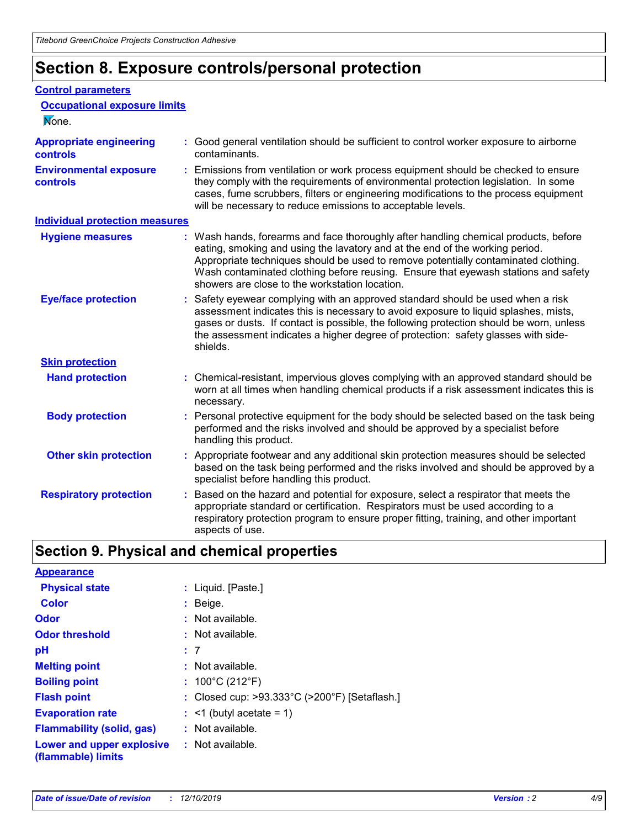# **Section 8. Exposure controls/personal protection**

#### **Control parameters**

| <b>Occupational exposure limits</b><br>None.      |    |                                                                                                                                                                                                                                                                                                                                                                                                   |
|---------------------------------------------------|----|---------------------------------------------------------------------------------------------------------------------------------------------------------------------------------------------------------------------------------------------------------------------------------------------------------------------------------------------------------------------------------------------------|
| <b>Appropriate engineering</b><br><b>controls</b> |    | : Good general ventilation should be sufficient to control worker exposure to airborne<br>contaminants.                                                                                                                                                                                                                                                                                           |
| <b>Environmental exposure</b><br><b>controls</b>  | ÷. | Emissions from ventilation or work process equipment should be checked to ensure<br>they comply with the requirements of environmental protection legislation. In some<br>cases, fume scrubbers, filters or engineering modifications to the process equipment<br>will be necessary to reduce emissions to acceptable levels.                                                                     |
| <b>Individual protection measures</b>             |    |                                                                                                                                                                                                                                                                                                                                                                                                   |
| <b>Hygiene measures</b>                           |    | : Wash hands, forearms and face thoroughly after handling chemical products, before<br>eating, smoking and using the lavatory and at the end of the working period.<br>Appropriate techniques should be used to remove potentially contaminated clothing.<br>Wash contaminated clothing before reusing. Ensure that eyewash stations and safety<br>showers are close to the workstation location. |
| <b>Eye/face protection</b>                        |    | : Safety eyewear complying with an approved standard should be used when a risk<br>assessment indicates this is necessary to avoid exposure to liquid splashes, mists,<br>gases or dusts. If contact is possible, the following protection should be worn, unless<br>the assessment indicates a higher degree of protection: safety glasses with side-<br>shields.                                |
| <b>Skin protection</b>                            |    |                                                                                                                                                                                                                                                                                                                                                                                                   |
| <b>Hand protection</b>                            |    | : Chemical-resistant, impervious gloves complying with an approved standard should be<br>worn at all times when handling chemical products if a risk assessment indicates this is<br>necessary.                                                                                                                                                                                                   |
| <b>Body protection</b>                            |    | : Personal protective equipment for the body should be selected based on the task being<br>performed and the risks involved and should be approved by a specialist before<br>handling this product.                                                                                                                                                                                               |
| <b>Other skin protection</b>                      |    | : Appropriate footwear and any additional skin protection measures should be selected<br>based on the task being performed and the risks involved and should be approved by a<br>specialist before handling this product.                                                                                                                                                                         |
| <b>Respiratory protection</b>                     |    | Based on the hazard and potential for exposure, select a respirator that meets the<br>appropriate standard or certification. Respirators must be used according to a<br>respiratory protection program to ensure proper fitting, training, and other important<br>aspects of use.                                                                                                                 |

# **Section 9. Physical and chemical properties**

| <b>Appearance</b>                                                       |                                                                    |
|-------------------------------------------------------------------------|--------------------------------------------------------------------|
| <b>Physical state</b>                                                   | : Liquid. [Paste.]                                                 |
| <b>Color</b>                                                            | $:$ Beige.                                                         |
| <b>Odor</b>                                                             | $:$ Not available.                                                 |
| <b>Odor threshold</b>                                                   | $:$ Not available.                                                 |
| рH                                                                      | :7                                                                 |
| <b>Melting point</b>                                                    | $:$ Not available.                                                 |
| <b>Boiling point</b>                                                    | : $100^{\circ}$ C (212 $^{\circ}$ F)                               |
| <b>Flash point</b>                                                      | : Closed cup: $>93.333^{\circ}$ C ( $>200^{\circ}$ F) [Setaflash.] |
| <b>Evaporation rate</b>                                                 | $:$ <1 (butyl acetate = 1)                                         |
| <b>Flammability (solid, gas)</b>                                        | $:$ Not available.                                                 |
| <b>Lower and upper explosive : Not available.</b><br>(flammable) limits |                                                                    |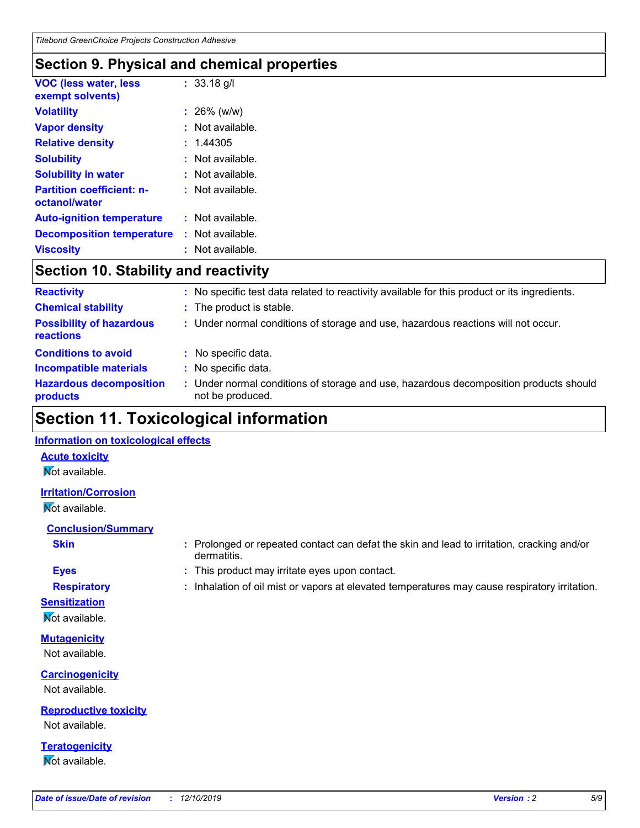### **Section 9. Physical and chemical properties**

| <b>VOC (less water, less</b><br>exempt solvents)  |    | : 33.18 q/l        |
|---------------------------------------------------|----|--------------------|
| <b>Volatility</b>                                 |    | : 26% (w/w)        |
| <b>Vapor density</b>                              |    | Not available.     |
| <b>Relative density</b>                           |    | : 1.44305          |
| <b>Solubility</b>                                 |    | Not available.     |
| <b>Solubility in water</b>                        |    | Not available.     |
| <b>Partition coefficient: n-</b><br>octanol/water |    | $:$ Not available. |
| <b>Auto-ignition temperature</b>                  |    | : Not available.   |
| <b>Decomposition temperature</b>                  | t. | Not available.     |
| Viscositv                                         |    | Not available.     |

### **Section 10. Stability and reactivity**

| <b>Reactivity</b>                            |    | No specific test data related to reactivity available for this product or its ingredients.              |
|----------------------------------------------|----|---------------------------------------------------------------------------------------------------------|
| <b>Chemical stability</b>                    | ÷. | The product is stable.                                                                                  |
| <b>Possibility of hazardous</b><br>reactions |    | : Under normal conditions of storage and use, hazardous reactions will not occur.                       |
| <b>Conditions to avoid</b>                   |    | : No specific data.                                                                                     |
| <b>Incompatible materials</b>                |    | No specific data.                                                                                       |
| <b>Hazardous decomposition</b><br>products   |    | Under normal conditions of storage and use, hazardous decomposition products should<br>not be produced. |

# **Section 11. Toxicological information**

### **Information on toxicological effects**

**Acute toxicity Not available.** 

**Irritation/Corrosion**

Not available.

**Conclusion/Summary**

- **Eyes :** This product may irritate eyes upon contact.
- 

**Sensitization**

**Not available.** 

**Mutagenicity** Not available.

**Carcinogenicity** Not available.

**Reproductive toxicity** Not available.

**Teratogenicity** Not available.

- **Skin :** Prolonged or repeated contact can defat the skin and lead to irritation, cracking and/or dermatitis.
- **Respiratory <b>:** Inhalation of oil mist or vapors at elevated temperatures may cause respiratory irritation.
	-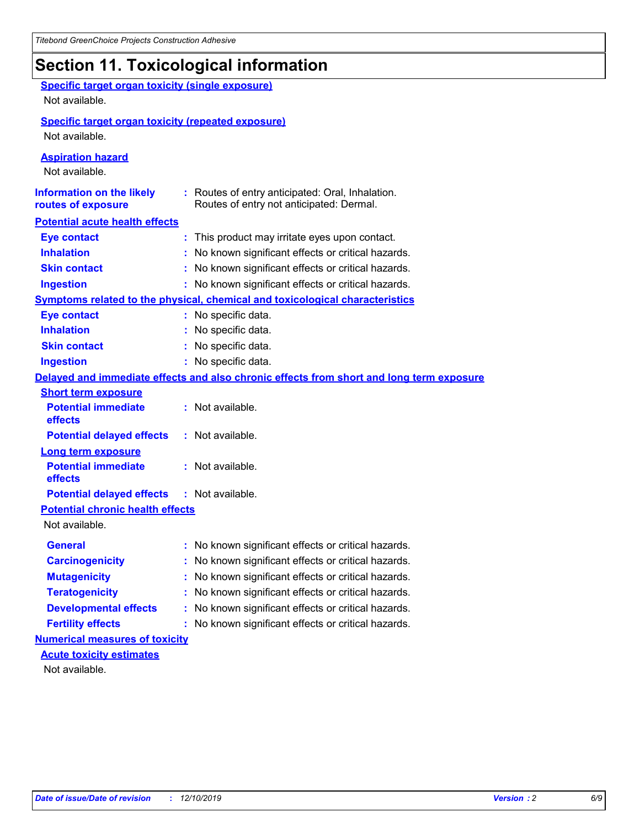# **Section 11. Toxicological information**

| <b>Specific target organ toxicity (single exposure)</b><br>Not available.   |                                                                                              |
|-----------------------------------------------------------------------------|----------------------------------------------------------------------------------------------|
| <b>Specific target organ toxicity (repeated exposure)</b><br>Not available. |                                                                                              |
| <b>Aspiration hazard</b><br>Not available.                                  |                                                                                              |
| <b>Information on the likely</b><br>routes of exposure                      | : Routes of entry anticipated: Oral, Inhalation.<br>Routes of entry not anticipated: Dermal. |
| <b>Potential acute health effects</b>                                       |                                                                                              |
| <b>Eye contact</b>                                                          | : This product may irritate eyes upon contact.                                               |
| <b>Inhalation</b>                                                           | : No known significant effects or critical hazards.                                          |
| <b>Skin contact</b>                                                         | : No known significant effects or critical hazards.                                          |
| <b>Ingestion</b>                                                            | : No known significant effects or critical hazards.                                          |
|                                                                             | <b>Symptoms related to the physical, chemical and toxicological characteristics</b>          |
| <b>Eye contact</b>                                                          | : No specific data.                                                                          |
| <b>Inhalation</b>                                                           | : No specific data.                                                                          |
| <b>Skin contact</b>                                                         | : No specific data.                                                                          |
| <b>Ingestion</b>                                                            | : No specific data.                                                                          |
|                                                                             | Delayed and immediate effects and also chronic effects from short and long term exposure     |
| <b>Short term exposure</b>                                                  |                                                                                              |
| <b>Potential immediate</b><br>effects                                       | : Not available.                                                                             |
| <b>Potential delayed effects</b>                                            | : Not available.                                                                             |
| <b>Long term exposure</b>                                                   |                                                                                              |
| <b>Potential immediate</b><br>effects                                       | : Not available.                                                                             |
| <b>Potential delayed effects</b>                                            | : Not available.                                                                             |
| <b>Potential chronic health effects</b><br>Not available.                   |                                                                                              |
| General                                                                     | : No known significant effects or critical hazards.                                          |
| <b>Carcinogenicity</b>                                                      | : No known significant effects or critical hazards.                                          |
| <b>Mutagenicity</b>                                                         | No known significant effects or critical hazards.                                            |
| <b>Teratogenicity</b>                                                       | No known significant effects or critical hazards.                                            |
| <b>Developmental effects</b>                                                | No known significant effects or critical hazards.                                            |
| <b>Fertility effects</b>                                                    | No known significant effects or critical hazards.                                            |
| <b>Numerical measures of toxicity</b>                                       |                                                                                              |
| <b>Acute toxicity estimates</b>                                             |                                                                                              |
| Not available.                                                              |                                                                                              |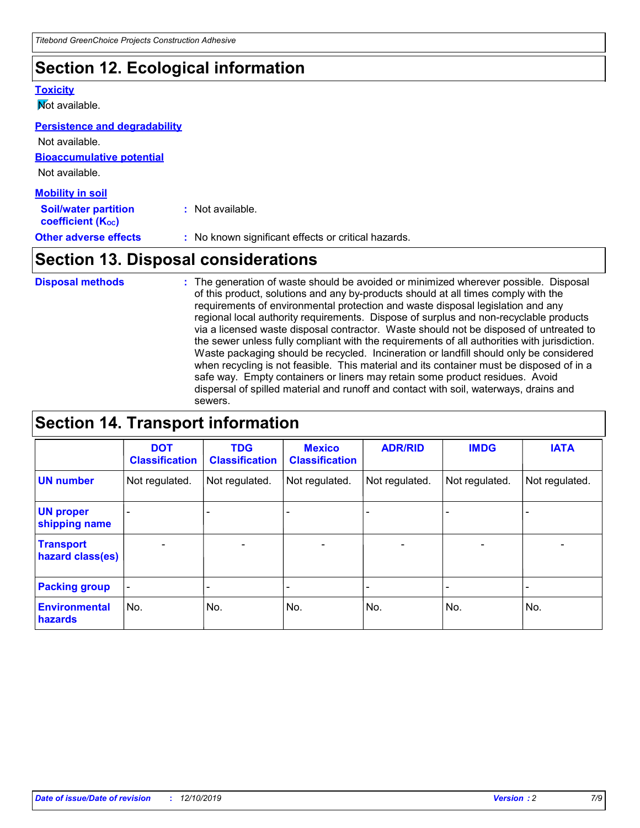# **Section 12. Ecological information**

#### **Toxicity**

**Not available.** 

#### **Persistence and degradability**

**Bioaccumulative potential** Not available.

Not available.

| <b>Mobility in soil</b>                                       |                                                     |
|---------------------------------------------------------------|-----------------------------------------------------|
| <b>Soil/water partition</b><br>coefficient (K <sub>oc</sub> ) | : Not available.                                    |
| <b>Other adverse effects</b>                                  | : No known significant effects or critical hazards. |

### **Section 13. Disposal considerations**

The generation of waste should be avoided or minimized wherever possible. Disposal of this product, solutions and any by-products should at all times comply with the requirements of environmental protection and waste disposal legislation and any regional local authority requirements. Dispose of surplus and non-recyclable products via a licensed waste disposal contractor. Waste should not be disposed of untreated to the sewer unless fully compliant with the requirements of all authorities with jurisdiction. Waste packaging should be recycled. Incineration or landfill should only be considered when recycling is not feasible. This material and its container must be disposed of in a safe way. Empty containers or liners may retain some product residues. Avoid dispersal of spilled material and runoff and contact with soil, waterways, drains and sewers. **Disposal methods :**

## **Section 14. Transport information**

|                                      | <b>DOT</b><br><b>Classification</b> | <b>TDG</b><br><b>Classification</b> | <b>Mexico</b><br><b>Classification</b> | <b>ADR/RID</b>               | <b>IMDG</b>              | <b>IATA</b>              |
|--------------------------------------|-------------------------------------|-------------------------------------|----------------------------------------|------------------------------|--------------------------|--------------------------|
| <b>UN number</b>                     | Not regulated.                      | Not regulated.                      | Not regulated.                         | Not regulated.               | Not regulated.           | Not regulated.           |
| <b>UN proper</b><br>shipping name    |                                     |                                     |                                        |                              |                          |                          |
| <b>Transport</b><br>hazard class(es) | $\overline{\phantom{m}}$            | $\overline{\phantom{0}}$            | $\qquad \qquad$                        | $\qquad \qquad \blacksquare$ | $\overline{\phantom{0}}$ | $\overline{\phantom{0}}$ |
| <b>Packing group</b>                 | $\overline{\phantom{a}}$            | -                                   |                                        | -                            |                          | -                        |
| <b>Environmental</b><br>hazards      | No.                                 | No.                                 | No.                                    | No.                          | No.                      | No.                      |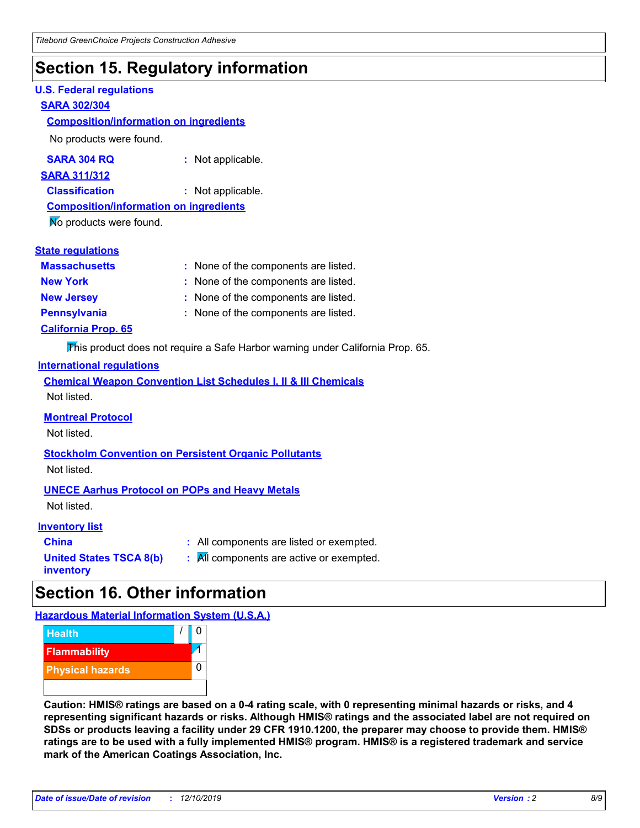## **Section 15. Regulatory information**

#### **U.S. Federal regulations**

#### **SARA 302/304**

#### **Composition/information on ingredients**

No products were found.

| SARA 304 RQ | Not applicable. |
|-------------|-----------------|
|-------------|-----------------|

**SARA 311/312**

**Classification :** Not applicable.

**Composition/information on ingredients**

No products were found.

#### **State regulations**

| <b>Massachusetts</b>       | : None of the components are listed. |
|----------------------------|--------------------------------------|
| <b>New York</b>            | : None of the components are listed. |
| <b>New Jersey</b>          | : None of the components are listed. |
| <b>Pennsylvania</b>        | : None of the components are listed. |
| <b>California Prop. 65</b> |                                      |

This product does not require a Safe Harbor warning under California Prop. 65.

#### **International regulations**

|             | <b>Chemical Weapon Convention List Schedules I, II &amp; III Chemicals</b> |  |  |  |
|-------------|----------------------------------------------------------------------------|--|--|--|
| Not listed. |                                                                            |  |  |  |

#### **Montreal Protocol**

Not listed.

**Stockholm Convention on Persistent Organic Pollutants**

Not listed.

#### **UNECE Aarhus Protocol on POPs and Heavy Metals**

Not listed.

#### **Inventory list**

**United States TSCA 8(b)**

**China :** All components are listed or exempted.

**inventory**

**:** All components are active or exempted.

## **Section 16. Other information**

**Hazardous Material Information System (U.S.A.)**



**Caution: HMIS® ratings are based on a 0-4 rating scale, with 0 representing minimal hazards or risks, and 4 representing significant hazards or risks. Although HMIS® ratings and the associated label are not required on SDSs or products leaving a facility under 29 CFR 1910.1200, the preparer may choose to provide them. HMIS® ratings are to be used with a fully implemented HMIS® program. HMIS® is a registered trademark and service mark of the American Coatings Association, Inc.**